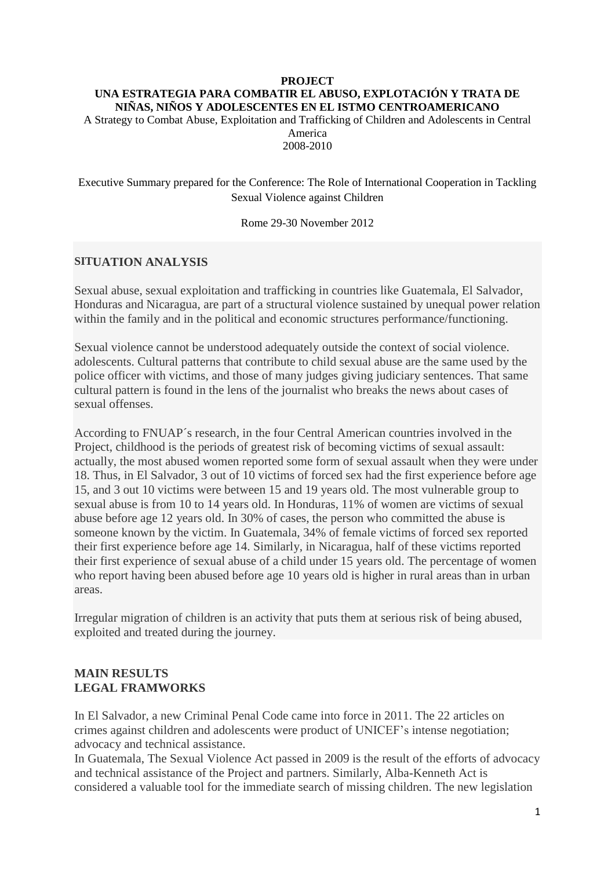#### **PROJECT UNA ESTRATEGIA PARA COMBATIR EL ABUSO, EXPLOTACIÓN Y TRATA DE NIÑAS, NIÑOS Y ADOLESCENTES EN EL ISTMO CENTROAMERICANO**

A Strategy to Combat Abuse, Exploitation and Trafficking of Children and Adolescents in Central America

2008-2010

Executive Summary prepared for the Conference: The Role of International Cooperation in Tackling Sexual Violence against Children

Rome 29-30 November 2012

#### **SITUATION ANALYSIS**

Sexual abuse, sexual exploitation and trafficking in countries like Guatemala, El Salvador, Honduras and Nicaragua, are part of a structural violence sustained by unequal power relation within the family and in the political and economic structures performance/functioning.

Sexual violence cannot be understood adequately outside the context of social violence. adolescents. Cultural patterns that contribute to child sexual abuse are the same used by the police officer with victims, and those of many judges giving judiciary sentences. That same cultural pattern is found in the lens of the journalist who breaks the news about cases of sexual offenses.

According to FNUAP´s research, in the four Central American countries involved in the Project, childhood is the periods of greatest risk of becoming victims of sexual assault: actually, the most abused women reported some form of sexual assault when they were under 18. Thus, in El Salvador, 3 out of 10 victims of forced sex had the first experience before age 15, and 3 out 10 victims were between 15 and 19 years old. The most vulnerable group to sexual abuse is from 10 to 14 years old. In Honduras, 11% of women are victims of sexual abuse before age 12 years old. In 30% of cases, the person who committed the abuse is someone known by the victim. In Guatemala, 34% of female victims of forced sex reported their first experience before age 14. Similarly, in Nicaragua, half of these victims reported their first experience of sexual abuse of a child under 15 years old. The percentage of women who report having been abused before age 10 years old is higher in rural areas than in urban areas.

Irregular migration of children is an activity that puts them at serious risk of being abused, exploited and treated during the journey.

## **MAIN RESULTS LEGAL FRAMWORKS**

In El Salvador, a new Criminal Penal Code came into force in 2011. The 22 articles on crimes against children and adolescents were product of UNICEF's intense negotiation; advocacy and technical assistance.

In Guatemala, The Sexual Violence Act passed in 2009 is the result of the efforts of advocacy and technical assistance of the Project and partners. Similarly, Alba-Kenneth Act is considered a valuable tool for the immediate search of missing children. The new legislation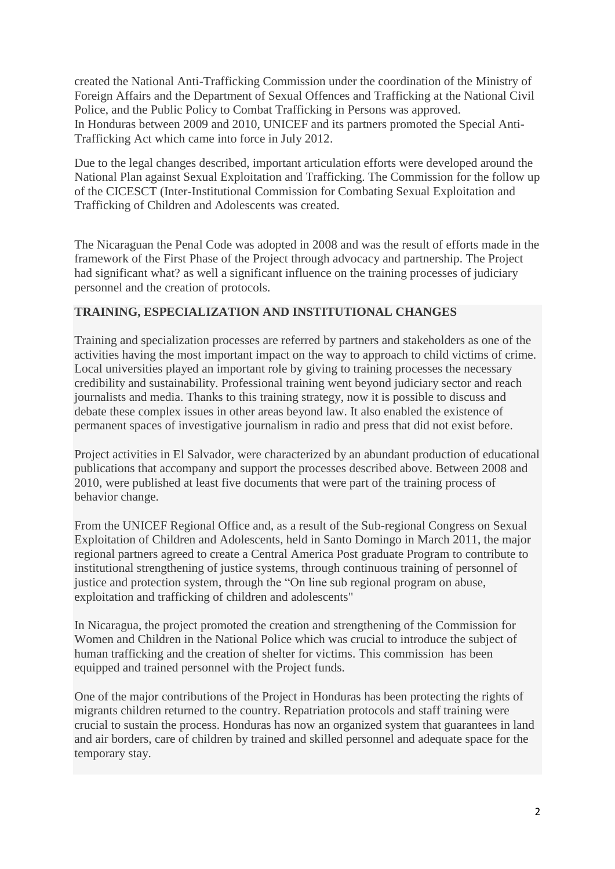created the National Anti-Trafficking Commission under the coordination of the Ministry of Foreign Affairs and the Department of Sexual Offences and Trafficking at the National Civil Police, and the Public Policy to Combat Trafficking in Persons was approved. In Honduras between 2009 and 2010, UNICEF and its partners promoted the Special Anti-Trafficking Act which came into force in July 2012.

Due to the legal changes described, important articulation efforts were developed around the National Plan against Sexual Exploitation and Trafficking. The Commission for the follow up of the CICESCT (Inter-Institutional Commission for Combating Sexual Exploitation and Trafficking of Children and Adolescents was created.

The Nicaraguan the Penal Code was adopted in 2008 and was the result of efforts made in the framework of the First Phase of the Project through advocacy and partnership. The Project had significant what? as well a significant influence on the training processes of judiciary personnel and the creation of protocols.

## **TRAINING, ESPECIALIZATION AND INSTITUTIONAL CHANGES**

Training and specialization processes are referred by partners and stakeholders as one of the activities having the most important impact on the way to approach to child victims of crime. Local universities played an important role by giving to training processes the necessary credibility and sustainability. Professional training went beyond judiciary sector and reach journalists and media. Thanks to this training strategy, now it is possible to discuss and debate these complex issues in other areas beyond law. It also enabled the existence of permanent spaces of investigative journalism in radio and press that did not exist before.

Project activities in El Salvador, were characterized by an abundant production of educational publications that accompany and support the processes described above. Between 2008 and 2010, were published at least five documents that were part of the training process of behavior change.

From the UNICEF Regional Office and, as a result of the Sub-regional Congress on Sexual Exploitation of Children and Adolescents, held in Santo Domingo in March 2011, the major regional partners agreed to create a Central America Post graduate Program to contribute to institutional strengthening of justice systems, through continuous training of personnel of justice and protection system, through the "On line sub regional program on abuse, exploitation and trafficking of children and adolescents"

In Nicaragua, the project promoted the creation and strengthening of the Commission for Women and Children in the National Police which was crucial to introduce the subject of human trafficking and the creation of shelter for victims. This commission has been equipped and trained personnel with the Project funds.

One of the major contributions of the Project in Honduras has been protecting the rights of migrants children returned to the country. Repatriation protocols and staff training were crucial to sustain the process. Honduras has now an organized system that guarantees in land and air borders, care of children by trained and skilled personnel and adequate space for the temporary stay.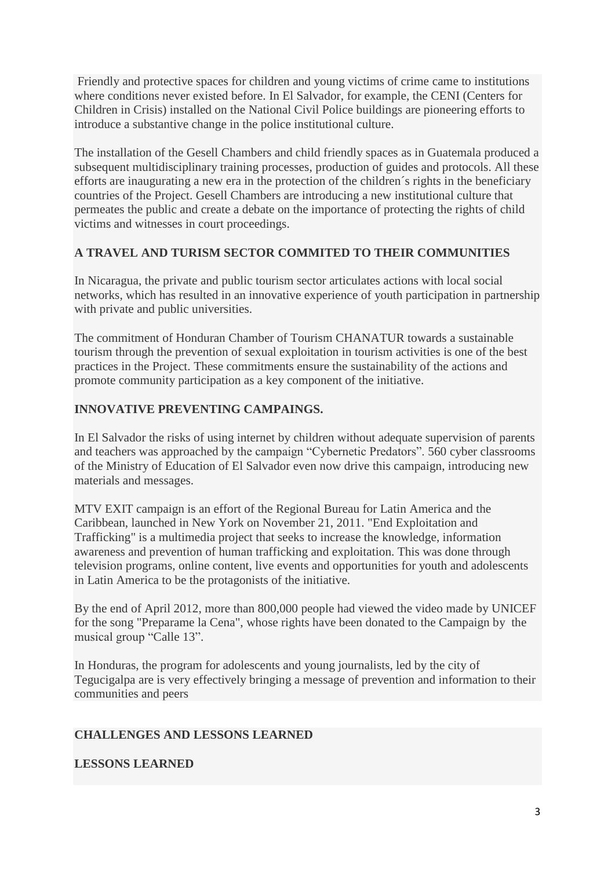Friendly and protective spaces for children and young victims of crime came to institutions where conditions never existed before. In El Salvador, for example, the CENI (Centers for Children in Crisis) installed on the National Civil Police buildings are pioneering efforts to introduce a substantive change in the police institutional culture.

The installation of the Gesell Chambers and child friendly spaces as in Guatemala produced a subsequent multidisciplinary training processes, production of guides and protocols. All these efforts are inaugurating a new era in the protection of the children´s rights in the beneficiary countries of the Project. Gesell Chambers are introducing a new institutional culture that permeates the public and create a debate on the importance of protecting the rights of child victims and witnesses in court proceedings.

# **A TRAVEL AND TURISM SECTOR COMMITED TO THEIR COMMUNITIES**

In Nicaragua, the private and public tourism sector articulates actions with local social networks, which has resulted in an innovative experience of youth participation in partnership with private and public universities.

The commitment of Honduran Chamber of Tourism CHANATUR towards a sustainable tourism through the prevention of sexual exploitation in tourism activities is one of the best practices in the Project. These commitments ensure the sustainability of the actions and promote community participation as a key component of the initiative.

# **INNOVATIVE PREVENTING CAMPAINGS.**

In El Salvador the risks of using internet by children without adequate supervision of parents and teachers was approached by the campaign "Cybernetic Predators". 560 cyber classrooms of the Ministry of Education of El Salvador even now drive this campaign, introducing new materials and messages.

MTV EXIT campaign is an effort of the Regional Bureau for Latin America and the Caribbean, launched in New York on November 21, 2011. "End Exploitation and Trafficking" is a multimedia project that seeks to increase the knowledge, information awareness and prevention of human trafficking and exploitation. This was done through television programs, online content, live events and opportunities for youth and adolescents in Latin America to be the protagonists of the initiative.

By the end of April 2012, more than 800,000 people had viewed the video made by UNICEF for the song "Preparame la Cena", whose rights have been donated to the Campaign by the musical group "Calle 13".

In Honduras, the program for adolescents and young journalists, led by the city of Tegucigalpa are is very effectively bringing a message of prevention and information to their communities and peers

## **CHALLENGES AND LESSONS LEARNED**

## **LESSONS LEARNED**